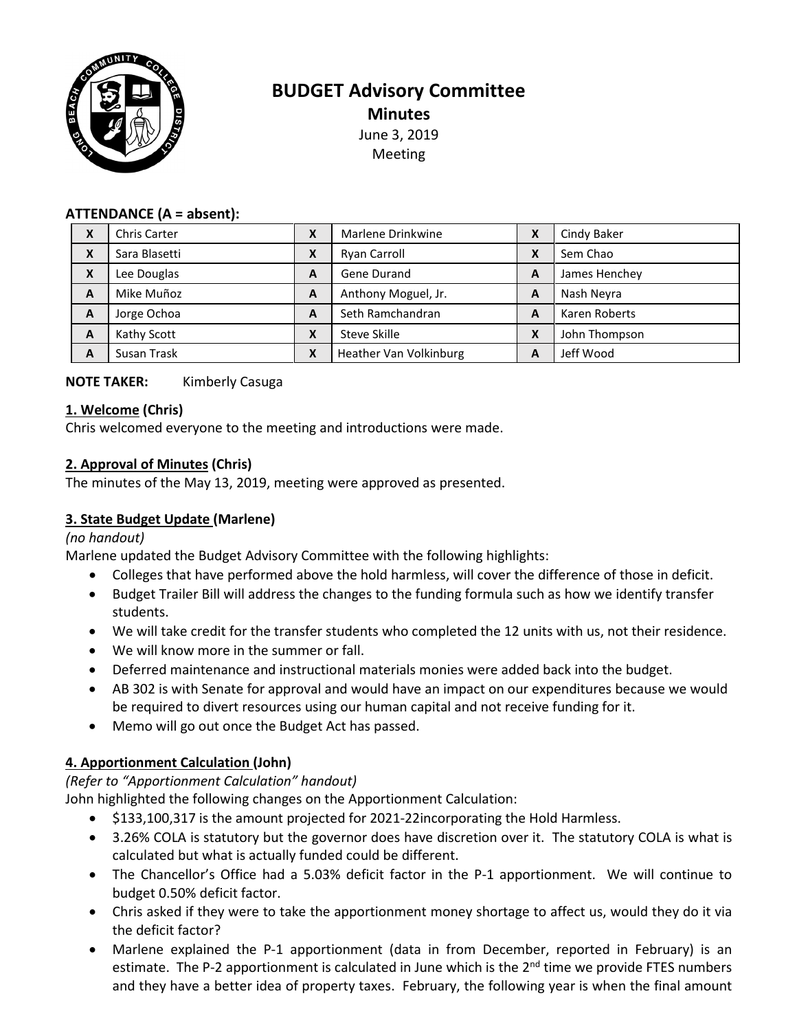

# **BUDGET Advisory Committee Minutes** June 3, 2019 Meeting

### **ATTENDANCE (A = absent):**

| X                         | <b>Chris Carter</b> | χ | Marlene Drinkwine      | X | Cindy Baker   |
|---------------------------|---------------------|---|------------------------|---|---------------|
| $\boldsymbol{\mathsf{x}}$ | Sara Blasetti       | Χ | Ryan Carroll           | X | Sem Chao      |
| $\boldsymbol{\mathsf{x}}$ | Lee Douglas         | A | Gene Durand            | A | James Henchey |
| A                         | Mike Muñoz          | A | Anthony Moguel, Jr.    | A | Nash Neyra    |
| A                         | Jorge Ochoa         | A | Seth Ramchandran       | A | Karen Roberts |
| A                         | Kathy Scott         | Χ | Steve Skille           | X | John Thompson |
| A                         | Susan Trask         | Χ | Heather Van Volkinburg | A | Jeff Wood     |

### **NOTE TAKER:** Kimberly Casuga

#### **1. Welcome (Chris)**

Chris welcomed everyone to the meeting and introductions were made.

### **2. Approval of Minutes (Chris)**

The minutes of the May 13, 2019, meeting were approved as presented.

## **3. State Budget Update (Marlene)**

#### *(no handout)*

Marlene updated the Budget Advisory Committee with the following highlights:

- Colleges that have performed above the hold harmless, will cover the difference of those in deficit.
- Budget Trailer Bill will address the changes to the funding formula such as how we identify transfer students.
- We will take credit for the transfer students who completed the 12 units with us, not their residence.
- We will know more in the summer or fall.
- Deferred maintenance and instructional materials monies were added back into the budget.
- AB 302 is with Senate for approval and would have an impact on our expenditures because we would be required to divert resources using our human capital and not receive funding for it.
- Memo will go out once the Budget Act has passed.

## **4. Apportionment Calculation (John)**

### *(Refer to "Apportionment Calculation" handout)*

John highlighted the following changes on the Apportionment Calculation:

- \$133,100,317 is the amount projected for 2021-22incorporating the Hold Harmless.
- 3.26% COLA is statutory but the governor does have discretion over it. The statutory COLA is what is calculated but what is actually funded could be different.
- The Chancellor's Office had a 5.03% deficit factor in the P-1 apportionment. We will continue to budget 0.50% deficit factor.
- Chris asked if they were to take the apportionment money shortage to affect us, would they do it via the deficit factor?
- Marlene explained the P-1 apportionment (data in from December, reported in February) is an estimate. The P-2 apportionment is calculated in June which is the  $2<sup>nd</sup>$  time we provide FTES numbers and they have a better idea of property taxes. February, the following year is when the final amount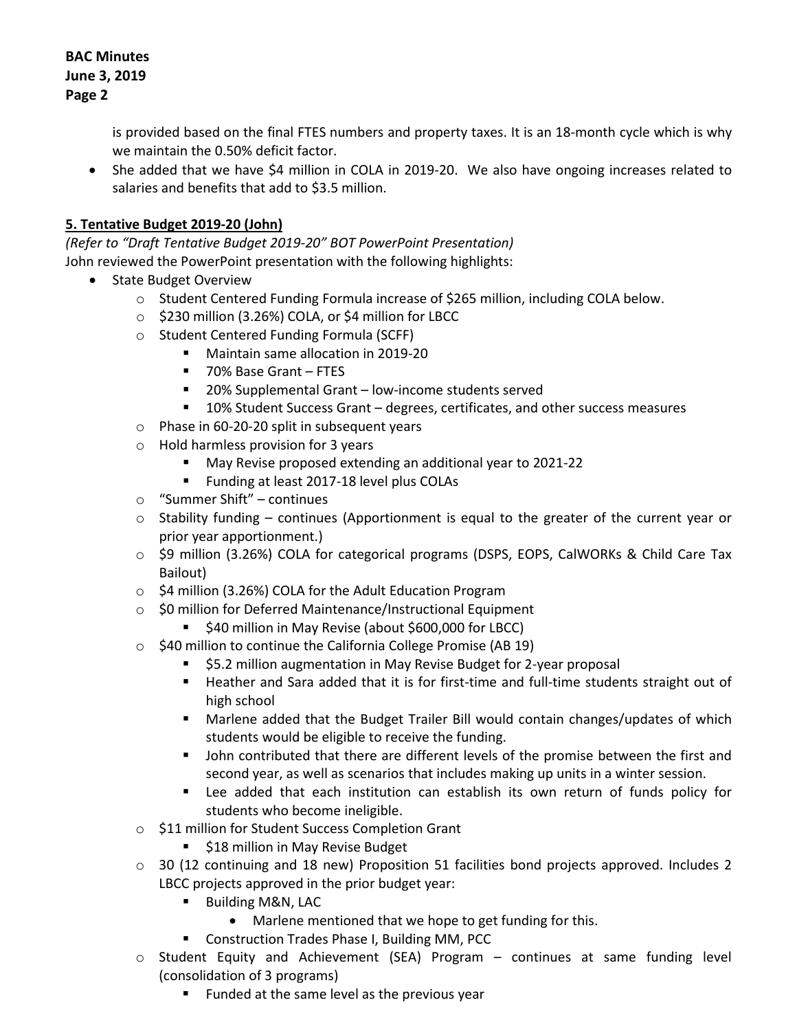is provided based on the final FTES numbers and property taxes. It is an 18-month cycle which is why we maintain the 0.50% deficit factor.

• She added that we have \$4 million in COLA in 2019-20. We also have ongoing increases related to salaries and benefits that add to \$3.5 million.

## **5. Tentative Budget 2019-20 (John)**

*(Refer to "Draft Tentative Budget 2019-20" BOT PowerPoint Presentation)* John reviewed the PowerPoint presentation with the following highlights:

- State Budget Overview
	- $\circ$  Student Centered Funding Formula increase of \$265 million, including COLA below.
	- o \$230 million (3.26%) COLA, or \$4 million for LBCC
	- o Student Centered Funding Formula (SCFF)
		- **Maintain same allocation in 2019-20**
		- 70% Base Grant FTES
		- 20% Supplemental Grant low-income students served
		- 10% Student Success Grant degrees, certificates, and other success measures
	- o Phase in 60-20-20 split in subsequent years
	- o Hold harmless provision for 3 years
		- May Revise proposed extending an additional year to 2021-22
		- **Funding at least 2017-18 level plus COLAs**
	- o "Summer Shift" continues
	- o Stability funding continues (Apportionment is equal to the greater of the current year or prior year apportionment.)
	- o \$9 million (3.26%) COLA for categorical programs (DSPS, EOPS, CalWORKs & Child Care Tax Bailout)
	- o \$4 million (3.26%) COLA for the Adult Education Program
	- o \$0 million for Deferred Maintenance/Instructional Equipment
		- **540 million in May Revise (about \$600,000 for LBCC)**
	- $\circ$  \$40 million to continue the California College Promise (AB 19)
		- \$5.2 million augmentation in May Revise Budget for 2-year proposal
		- Heather and Sara added that it is for first-time and full-time students straight out of high school
		- Marlene added that the Budget Trailer Bill would contain changes/updates of which students would be eligible to receive the funding.
		- **•** John contributed that there are different levels of the promise between the first and second year, as well as scenarios that includes making up units in a winter session.
		- Lee added that each institution can establish its own return of funds policy for students who become ineligible.
	- o \$11 million for Student Success Completion Grant
		- **518 million in May Revise Budget**
	- $\circ$  30 (12 continuing and 18 new) Proposition 51 facilities bond projects approved. Includes 2 LBCC projects approved in the prior budget year:
		- Building M&N, LAC
			- Marlene mentioned that we hope to get funding for this.
		- **E** Construction Trades Phase I, Building MM, PCC
	- o Student Equity and Achievement (SEA) Program continues at same funding level (consolidation of 3 programs)
		- **Funded at the same level as the previous year**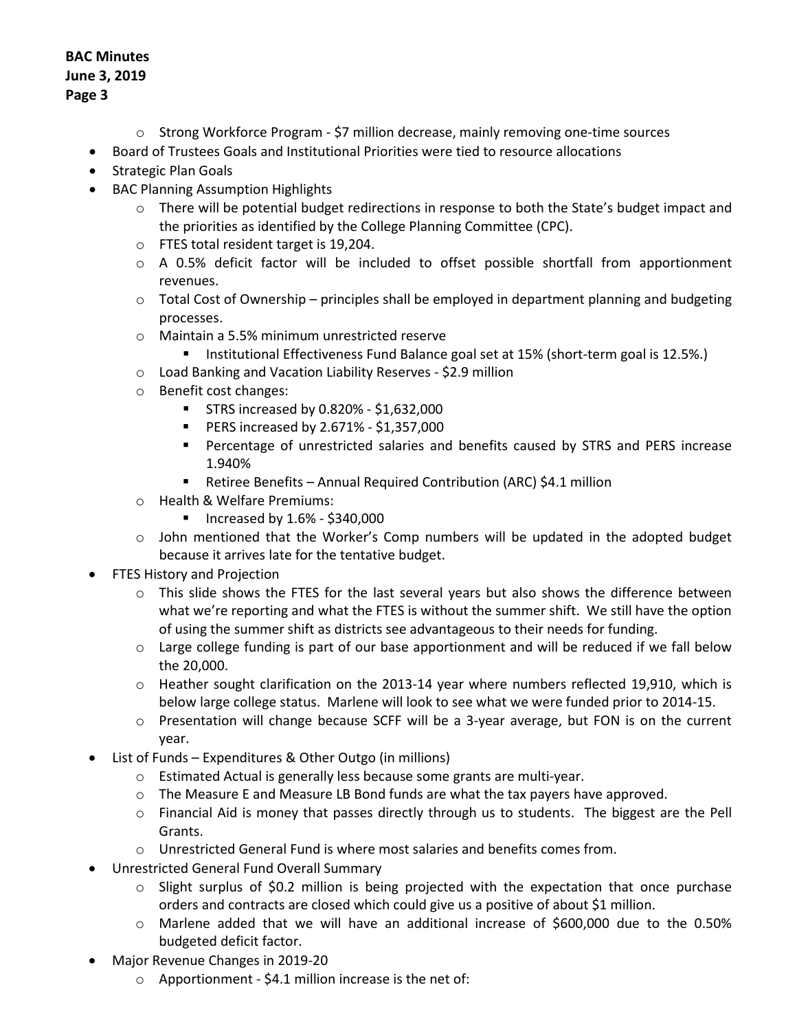- o Strong Workforce Program \$7 million decrease, mainly removing one-time sources
- Board of Trustees Goals and Institutional Priorities were tied to resource allocations
- Strategic Plan Goals
- BAC Planning Assumption Highlights
	- $\circ$  There will be potential budget redirections in response to both the State's budget impact and the priorities as identified by the College Planning Committee (CPC).
	- o FTES total resident target is 19,204.
	- $\circ$  A 0.5% deficit factor will be included to offset possible shortfall from apportionment revenues.
	- o Total Cost of Ownership principles shall be employed in department planning and budgeting processes.
	- o Maintain a 5.5% minimum unrestricted reserve
		- **Institutional Effectiveness Fund Balance goal set at 15% (short-term goal is 12.5%.)**
	- o Load Banking and Vacation Liability Reserves \$2.9 million
	- o Benefit cost changes:
		- $\blacksquare$  STRS increased by 0.820% \$1,632,000
		- **PERS increased by 2.671% \$1,357,000**
		- Percentage of unrestricted salaries and benefits caused by STRS and PERS increase 1.940%
		- Retiree Benefits Annual Required Contribution (ARC) \$4.1 million
	- o Health & Welfare Premiums:
		- $\blacksquare$  Increased by 1.6% \$340,000
	- $\circ$  John mentioned that the Worker's Comp numbers will be updated in the adopted budget because it arrives late for the tentative budget.
- FTES History and Projection
	- $\circ$  This slide shows the FTES for the last several years but also shows the difference between what we're reporting and what the FTES is without the summer shift. We still have the option of using the summer shift as districts see advantageous to their needs for funding.
	- $\circ$  Large college funding is part of our base apportionment and will be reduced if we fall below the 20,000.
	- o Heather sought clarification on the 2013-14 year where numbers reflected 19,910, which is below large college status. Marlene will look to see what we were funded prior to 2014-15.
	- $\circ$  Presentation will change because SCFF will be a 3-year average, but FON is on the current year.
- List of Funds Expenditures & Other Outgo (in millions)
	- o Estimated Actual is generally less because some grants are multi-year.
	- o The Measure E and Measure LB Bond funds are what the tax payers have approved.
	- $\circ$  Financial Aid is money that passes directly through us to students. The biggest are the Pell Grants.
	- o Unrestricted General Fund is where most salaries and benefits comes from.
- Unrestricted General Fund Overall Summary
	- $\circ$  Slight surplus of \$0.2 million is being projected with the expectation that once purchase orders and contracts are closed which could give us a positive of about \$1 million.
	- o Marlene added that we will have an additional increase of \$600,000 due to the 0.50% budgeted deficit factor.
- Major Revenue Changes in 2019-20
	- $\circ$  Apportionment \$4.1 million increase is the net of: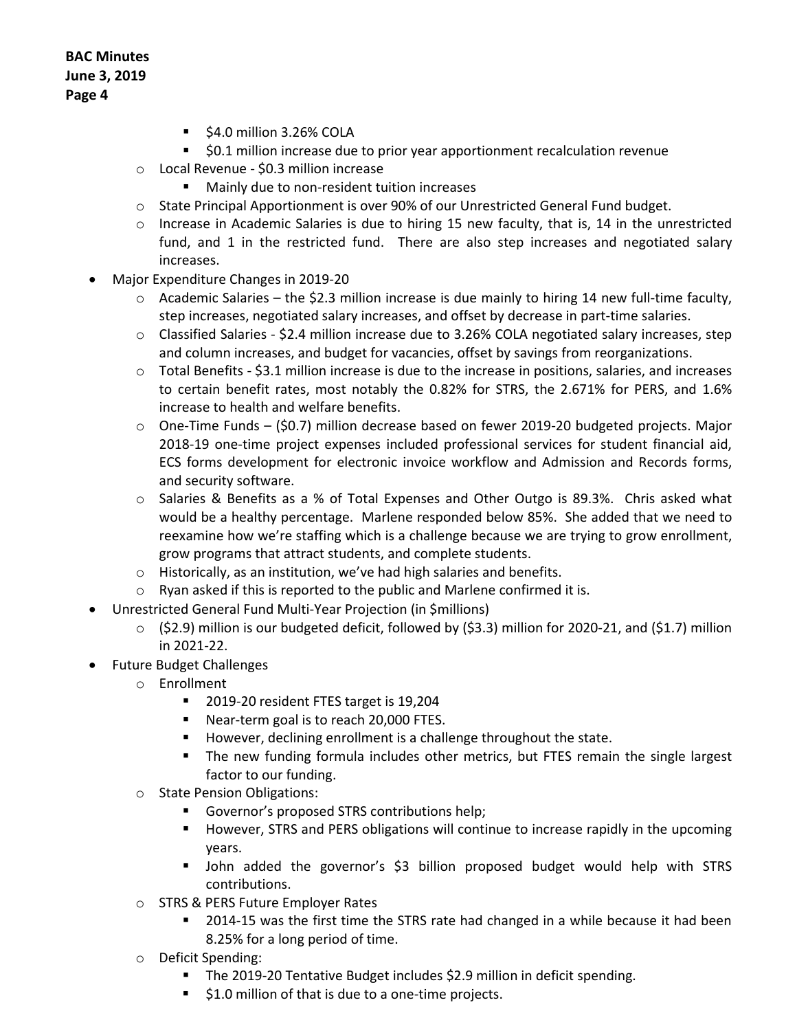- $\overline{\phantom{a}}$  \$4.0 million 3.26% COLA
- **50.1 million increase due to prior year apportionment recalculation revenue**
- o Local Revenue \$0.3 million increase
	- **Mainly due to non-resident tuition increases**
- o State Principal Apportionment is over 90% of our Unrestricted General Fund budget.
- $\circ$  Increase in Academic Salaries is due to hiring 15 new faculty, that is, 14 in the unrestricted fund, and 1 in the restricted fund. There are also step increases and negotiated salary increases.
- Major Expenditure Changes in 2019-20
	- o Academic Salaries the \$2.3 million increase is due mainly to hiring 14 new full-time faculty, step increases, negotiated salary increases, and offset by decrease in part-time salaries.
	- $\circ$  Classified Salaries \$2.4 million increase due to 3.26% COLA negotiated salary increases, step and column increases, and budget for vacancies, offset by savings from reorganizations.
	- $\circ$  Total Benefits \$3.1 million increase is due to the increase in positions, salaries, and increases to certain benefit rates, most notably the 0.82% for STRS, the 2.671% for PERS, and 1.6% increase to health and welfare benefits.
	- $\circ$  One-Time Funds (\$0.7) million decrease based on fewer 2019-20 budgeted projects. Major 2018-19 one-time project expenses included professional services for student financial aid, ECS forms development for electronic invoice workflow and Admission and Records forms, and security software.
	- o Salaries & Benefits as a % of Total Expenses and Other Outgo is 89.3%. Chris asked what would be a healthy percentage. Marlene responded below 85%. She added that we need to reexamine how we're staffing which is a challenge because we are trying to grow enrollment, grow programs that attract students, and complete students.
	- o Historically, as an institution, we've had high salaries and benefits.
	- $\circ$  Ryan asked if this is reported to the public and Marlene confirmed it is.
- Unrestricted General Fund Multi-Year Projection (in \$millions)
	- $\circ$  (\$2.9) million is our budgeted deficit, followed by (\$3.3) million for 2020-21, and (\$1.7) million in 2021-22.
- Future Budget Challenges
	- o Enrollment
		- 2019-20 resident FTES target is 19,204
		- Near-term goal is to reach 20,000 FTES.
		- **However, declining enrollment is a challenge throughout the state.**
		- The new funding formula includes other metrics, but FTES remain the single largest factor to our funding.
	- o State Pension Obligations:
		- Governor's proposed STRS contributions help;
		- **However, STRS and PERS obligations will continue to increase rapidly in the upcoming** years.
		- John added the governor's \$3 billion proposed budget would help with STRS contributions.
	- o STRS & PERS Future Employer Rates
		- 2014-15 was the first time the STRS rate had changed in a while because it had been 8.25% for a long period of time.
	- o Deficit Spending:
		- **The 2019-20 Tentative Budget includes \$2.9 million in deficit spending.**
		- **51.0 million of that is due to a one-time projects.**